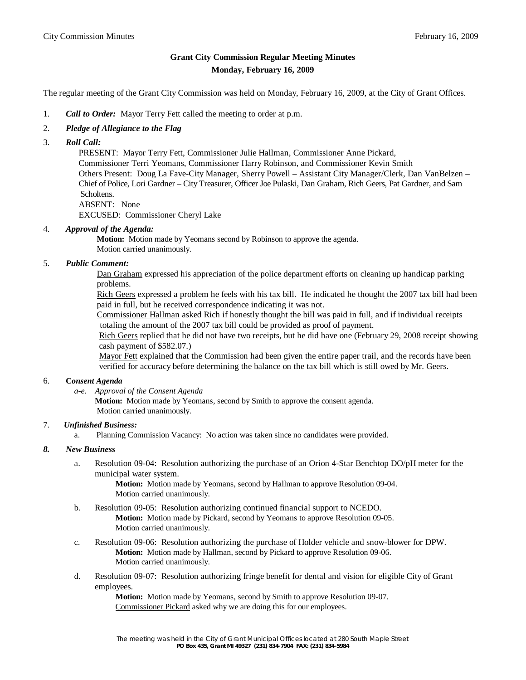# **Grant City Commission Regular Meeting Minutes Monday, February 16, 2009**

The regular meeting of the Grant City Commission was held on Monday, February 16, 2009, at the City of Grant Offices.

- 1. *Call to Order:* Mayor Terry Fett called the meeting to order at p.m.
- 2. *Pledge of Allegiance to the Flag*
- 3. *Roll Call:*

 PRESENT: Mayor Terry Fett, Commissioner Julie Hallman, Commissioner Anne Pickard, Commissioner Terri Yeomans, Commissioner Harry Robinson, and Commissioner Kevin Smith Others Present: Doug La Fave-City Manager, Sherry Powell – Assistant City Manager/Clerk, Dan VanBelzen – Chief of Police, Lori Gardner – City Treasurer, Officer Joe Pulaski, Dan Graham, Rich Geers, Pat Gardner, and Sam Scholtens. ABSENT: None

EXCUSED: Commissioner Cheryl Lake

#### 4. *Approval of the Agenda:*

 **Motion:** Motion made by Yeomans second by Robinson to approve the agenda. Motion carried unanimously.

#### 5. *Public Comment:*

Dan Graham expressed his appreciation of the police department efforts on cleaning up handicap parking problems.

 Rich Geers expressed a problem he feels with his tax bill. He indicated he thought the 2007 tax bill had been paid in full, but he received correspondence indicating it was not.

 Commissioner Hallman asked Rich if honestly thought the bill was paid in full, and if individual receipts totaling the amount of the 2007 tax bill could be provided as proof of payment.

 Rich Geers replied that he did not have two receipts, but he did have one (February 29, 2008 receipt showing cash payment of \$582.07.)

 Mayor Fett explained that the Commission had been given the entire paper trail, and the records have been verified for accuracy before determining the balance on the tax bill which is still owed by Mr. Geers.

# 6. **C***onsent Agenda*

*a-e. Approval of the Consent Agenda*

**Motion:** Motion made by Yeomans, second by Smith to approve the consent agenda. Motion carried unanimously.

### 7. *Unfinished Business:*

a. Planning Commission Vacancy: No action was taken since no candidates were provided.

#### *8. New Business*

a. Resolution 09-04: Resolution authorizing the purchase of an Orion 4-Star Benchtop DO/pH meter for the municipal water system.

> **Motion:** Motion made by Yeomans, second by Hallman to approve Resolution 09-04. Motion carried unanimously.

- b. Resolution 09-05: Resolution authorizing continued financial support to NCEDO. **Motion:** Motion made by Pickard, second by Yeomans to approve Resolution 09-05. Motion carried unanimously.
- c. Resolution 09-06: Resolution authorizing the purchase of Holder vehicle and snow-blower for DPW. **Motion:** Motion made by Hallman, second by Pickard to approve Resolution 09-06. Motion carried unanimously.
- d. Resolution 09-07: Resolution authorizing fringe benefit for dental and vision for eligible City of Grant employees.

**Motion:** Motion made by Yeomans, second by Smith to approve Resolution 09-07. Commissioner Pickard asked why we are doing this for our employees.